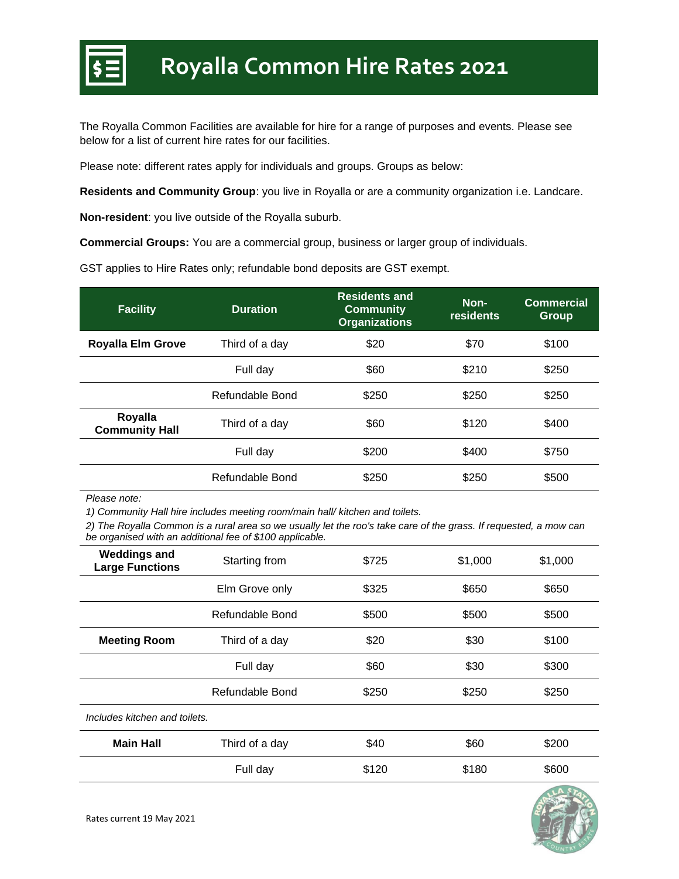

The Royalla Common Facilities are available for hire for a range of purposes and events. Please see below for a list of current hire rates for our facilities.

Please note: different rates apply for individuals and groups. Groups as below:

**Residents and Community Group**: you live in Royalla or are a community organization i.e. Landcare.

**Non-resident**: you live outside of the Royalla suburb.

**Commercial Groups:** You are a commercial group, business or larger group of individuals.

GST applies to Hire Rates only; refundable bond deposits are GST exempt.

| <b>Facility</b>                  | <b>Duration</b> | <b>Residents and</b><br><b>Community</b><br><b>Organizations</b> | Non-<br>residents | <b>Commercial</b><br><b>Group</b> |
|----------------------------------|-----------------|------------------------------------------------------------------|-------------------|-----------------------------------|
| <b>Royalla Elm Grove</b>         | Third of a day  | \$20                                                             | \$70              | \$100                             |
|                                  | Full day        | \$60                                                             | \$210             | \$250                             |
|                                  | Refundable Bond | \$250                                                            | \$250             | \$250                             |
| Royalla<br><b>Community Hall</b> | Third of a day  | \$60                                                             | \$120             | \$400                             |
|                                  | Full day        | \$200                                                            | \$400             | \$750                             |
|                                  | Refundable Bond | \$250                                                            | \$250             | \$500                             |

*Please note:*

*1) Community Hall hire includes meeting room/main hall/ kitchen and toilets.*

*2) The Royalla Common is a rural area so we usually let the roo's take care of the grass. If requested, a mow can be organised with an additional fee of \$100 applicable.*

| <b>Weddings and</b><br><b>Large Functions</b> | Starting from   | \$725 | \$1,000 | \$1,000 |
|-----------------------------------------------|-----------------|-------|---------|---------|
|                                               | Elm Grove only  | \$325 | \$650   | \$650   |
|                                               | Refundable Bond | \$500 | \$500   | \$500   |
| <b>Meeting Room</b>                           | Third of a day  | \$20  | \$30    | \$100   |
|                                               | Full day        | \$60  | \$30    | \$300   |
|                                               | Refundable Bond | \$250 | \$250   | \$250   |
| Includes kitchen and toilets.                 |                 |       |         |         |
| <b>Main Hall</b>                              | Third of a day  | \$40  | \$60    | \$200   |
|                                               | Full day        | \$120 | \$180   | \$600   |
|                                               |                 |       |         |         |

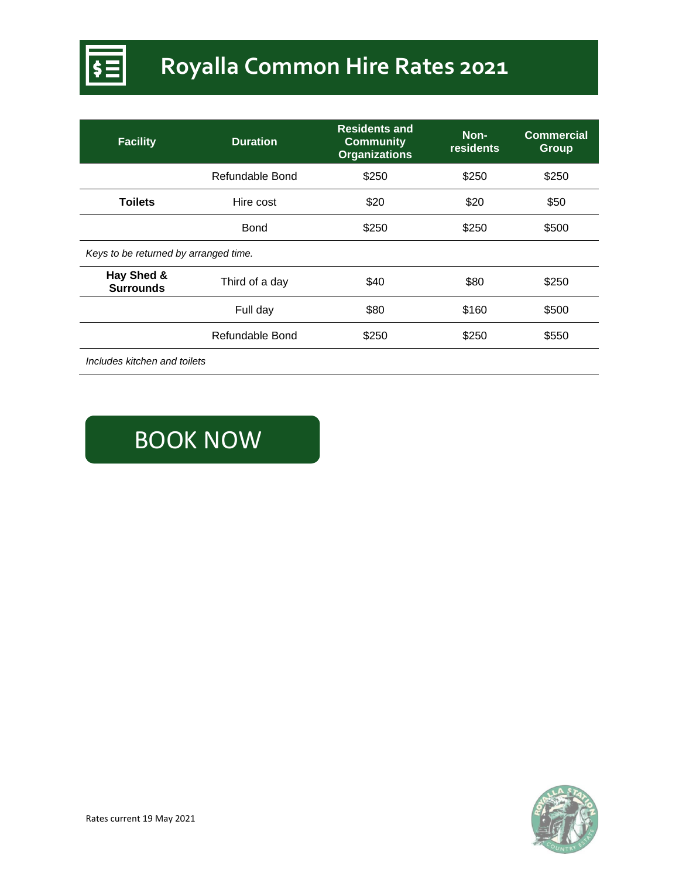

# **Royalla Common Hire Rates 2021**

| <b>Facility</b>                       | <b>Duration</b> | <b>Residents and</b><br><b>Community</b><br><b>Organizations</b> | Non-<br><b>residents</b> | <b>Commercial</b><br><b>Group</b> |
|---------------------------------------|-----------------|------------------------------------------------------------------|--------------------------|-----------------------------------|
|                                       | Refundable Bond | \$250                                                            | \$250                    | \$250                             |
| <b>Toilets</b>                        | Hire cost       | \$20                                                             | \$20                     | \$50                              |
|                                       | Bond            | \$250                                                            | \$250                    | \$500                             |
| Keys to be returned by arranged time. |                 |                                                                  |                          |                                   |
| Hay Shed &<br><b>Surrounds</b>        | Third of a day  | \$40                                                             | \$80                     | \$250                             |
|                                       | Full day        | \$80                                                             | \$160                    | \$500                             |
|                                       | Refundable Bond | \$250                                                            | \$250                    | \$550                             |
| <br>.                                 |                 |                                                                  |                          |                                   |

*Includes kitchen and toilets*